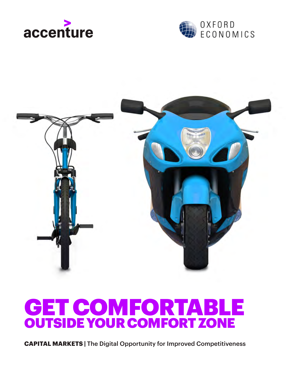





# GET COMFORTABLE OUTSIDE YOUR COMFORT ZONE

**CAPITAL MARKETS |** The Digital Opportunity for Improved Competitiveness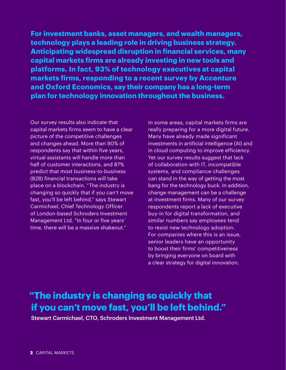**For investment banks, asset managers, and wealth managers, technology plays a leading role in driving business strategy. Anticipating widespread disruption in financial services, many capital markets firms are already investing in new tools and platforms. In fact, 93% of technology executives at capital markets firms, responding to a recent survey by Accenture and Oxford Economics, say their company has a long-term plan for technology innovation throughout the business.** 

Our survey results also indicate that capital markets firms seem to have a clear picture of the competitive challenges and changes ahead. More than 90% of respondents say that within five years, virtual assistants will handle more than half of customer interactions, and 87% predict that most business-to-business (B2B) financial transactions will take place on a blockchain. "The industry is changing so quickly that if you can't move fast, you'll be left behind," says Stewart Carmichael, Chief Technology Officer of London-based Schroders Investment Management Ltd. "In four or five years' time, there will be a massive shakeout."

In some areas, capital markets firms are really preparing for a more digital future. Many have already made significant investments in artificial intelligence (AI) and in cloud computing to improve efficiency. Yet our survey results suggest that lack of collaboration with IT, incompatible systems, and compliance challenges can stand in the way of getting the most bang for the technology buck. In addition, change management can be a challenge at investment firms. Many of our survey respondents report a lack of executive buy-in for digital transformation, and similar numbers say employees tend to resist new technology adoption. For companies where this is an issue, senior leaders have an opportunity to boost their firms' competitiveness by bringing everyone on board with a clear strategy for digital innovation.

# **"The industry is changing so quickly that if you can't move fast, you'll be left behind."**

Stewart Carmichael, CTO, Schroders Investment Management Ltd.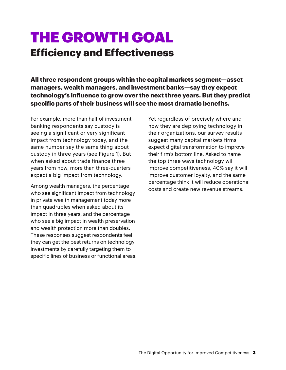# THE GROWTH GOAL Efficiency and Effectiveness

**All three respondent groups within the capital markets segment—asset managers, wealth managers, and investment banks—say they expect technology's influence to grow over the next three years. But they predict specific parts of their business will see the most dramatic benefits.** 

For example, more than half of investment banking respondents say custody is seeing a significant or very significant impact from technology today, and the same number say the same thing about custody in three years (see Figure 1). But when asked about trade finance three years from now, more than three-quarters expect a big impact from technology.

Among wealth managers, the percentage who see significant impact from technology in private wealth management today more than quadruples when asked about its impact in three years, and the percentage who see a big impact in wealth preservation and wealth protection more than doubles. These responses suggest respondents feel they can get the best returns on technology investments by carefully targeting them to specific lines of business or functional areas. Yet regardless of precisely where and how they are deploying technology in their organizations, our survey results suggest many capital markets firms expect digital transformation to improve their firm's bottom line. Asked to name the top three ways technology will improve competitiveness, 40% say it will improve customer loyalty, and the same percentage think it will reduce operational costs and create new revenue streams.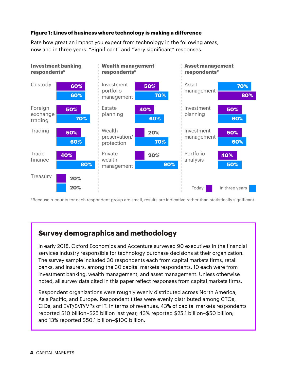### **Figure 1: Lines of business where technology is making a difference**

Rate how great an impact you expect from technology in the following areas, now and in three years. "Significant" and "Very significant" responses.



\*Because n-counts for each respondent group are small, results are indicative rather than statistically significant.

## **Survey demographics and methodology**

In early 2018, Oxford Economics and Accenture surveyed 90 executives in the financial services industry responsible for technology purchase decisions at their organization. The survey sample included 30 respondents each from capital markets firms, retail banks, and insurers; among the 30 capital markets respondents, 10 each were from investment banking, wealth management, and asset management. Unless otherwise noted, all survey data cited in this paper reflect responses from capital markets firms.

Respondent organizations were roughly evenly distributed across North America, Asia Pacific, and Europe. Respondent titles were evenly distributed among CTOs, CIOs, and EVP/SVP/VPs of IT. In terms of revenues, 43% of capital markets respondents reported \$10 billion–\$25 billion last year; 43% reported \$25.1 billion–\$50 billion; and 13% reported \$50.1 billion–\$100 billion.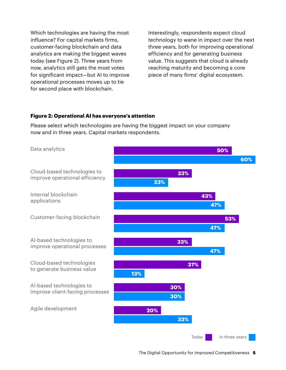Which technologies are having the most influence? For capital markets firms, customer-facing blockchain and data analytics are making the biggest waves today (see Figure 2). Three years from now, analytics still gets the most votes for significant impact—but AI to improve operational processes moves up to tie for second place with blockchain.

Interestingly, respondents expect cloud technology to wane in impact over the next three years, both for improving operational efficiency and for generating business value. This suggests that cloud is already reaching maturity and becoming a core piece of many firms' digital ecosystem.

### **Figure 2: Operational AI has everyone's attention**

Please select which technologies are having the biggest impact on your company now and in three years. Capital markets respondents.

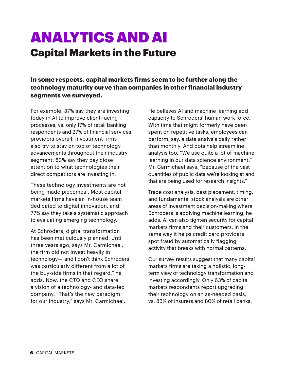# ANALYTICS AND AI Capital Markets in the Future

**In some respects, capital markets firms seem to be further along the technology maturity curve than companies in other financial industry segments we surveyed.** 

For example, 37% say they are investing today in AI to improve client-facing processes, vs. only 17% of retail banking respondents and 27% of financial services providers overall. Investment firms also try to stay on top of technology advancements throughout their industry segment: 83% say they pay close attention to what technologies their direct competitors are investing in.

These technology investments are not being made piecemeal. Most capital markets firms have an in-house team dedicated to digital innovation, and 77% say they take a systematic approach to evaluating emerging technology.

At Schroders, digital transformation has been meticulously planned. Until three years ago, says Mr. Carmichael, the firm did not invest heavily in technology—"and I don't think Schroders was particularly different from a lot of the buy-side firms in that regard," he adds. Now, the CTO and CEO share a vision of a technology- and data-led company. "That's the new paradigm for our industry," says Mr. Carmichael.

He believes AI and machine learning add capacity to Schroders' human work force. With time that might formerly have been spent on repetitive tasks, employees can perform, say, a data analysis daily rather than monthly. And bots help streamline analysis too. "We use quite a lot of machine learning in our data science environment," Mr. Carmichael says, "because of the vast quantities of public data we're looking at and that are being used for research insights."

Trade cost analysis, best placement, timing, and fundamental stock analysis are other areas of investment decision-making where Schroders is applying machine learning, he adds. AI can also tighten security for capital markets firms and their customers, in the same way it helps credit card providers spot fraud by automatically flagging activity that breaks with normal patterns.

Our survey results suggest that many capital markets firms are taking a holistic, longterm view of technology transformation and investing accordingly. Only 63% of capital markets respondents report upgrading their technology on an as-needed basis, vs. 83% of insurers and 80% of retail banks.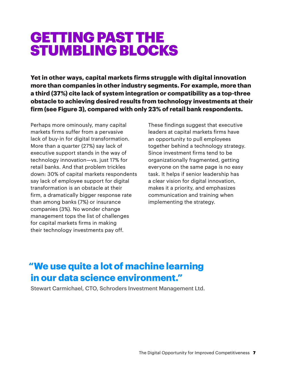# GETTING PAST THE STUMBLING BLOCKS

**Yet in other ways, capital markets firms struggle with digital innovation more than companies in other industry segments. For example, more than a third (37%) cite lack of system integration or compatibility as a top-three obstacle to achieving desired results from technology investments at their firm (see Figure 3), compared with only 23% of retail bank respondents.** 

Perhaps more ominously, many capital markets firms suffer from a pervasive lack of buy-in for digital transformation. More than a quarter (27%) say lack of executive support stands in the way of technology innovation—vs. just 17% for retail banks. And that problem trickles down: 30% of capital markets respondents say lack of employee support for digital transformation is an obstacle at their firm, a dramatically bigger response rate than among banks (7%) or insurance companies (3%). No wonder change management tops the list of challenges for capital markets firms in making their technology investments pay off.

These findings suggest that executive leaders at capital markets firms have an opportunity to pull employees together behind a technology strategy. Since investment firms tend to be organizationally fragmented, getting everyone on the same page is no easy task. It helps if senior leadership has a clear vision for digital innovation, makes it a priority, and emphasizes communication and training when implementing the strategy.

# **"We use quite a lot of machine learning in our data science environment."**

Stewart Carmichael, CTO, Schroders Investment Management Ltd.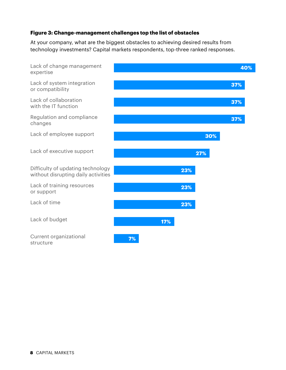### **Figure 3: Change-management challenges top the list of obstacles**

At your company, what are the biggest obstacles to achieving desired results from technology investments? Capital markets respondents, top-three ranked responses.

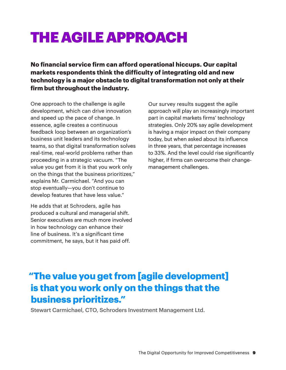# THE AGILE APPROACH

**No financial service firm can afford operational hiccups. Our capital markets respondents think the difficulty of integrating old and new technology is a major obstacle to digital transformation not only at their firm but throughout the industry.** 

One approach to the challenge is agile development, which can drive innovation and speed up the pace of change. In essence, agile creates a continuous feedback loop between an organization's business unit leaders and its technology teams, so that digital transformation solves real-time, real-world problems rather than proceeding in a strategic vacuum. "The value you get from it is that you work only on the things that the business prioritizes," explains Mr. Carmichael. "And you can stop eventually—you don't continue to develop features that have less value."

He adds that at Schroders, agile has produced a cultural and managerial shift. Senior executives are much more involved in how technology can enhance their line of business. It's a significant time commitment, he says, but it has paid off.

Our survey results suggest the agile approach will play an increasingly important part in capital markets firms' technology strategies. Only 20% say agile development is having a major impact on their company today, but when asked about its influence in three years, that percentage increases to 33%. And the level could rise significantly higher, if firms can overcome their changemanagement challenges.

# **"The value you get from [agile development] is that you work only on the things that the business prioritizes."**

Stewart Carmichael, CTO, Schroders Investment Management Ltd.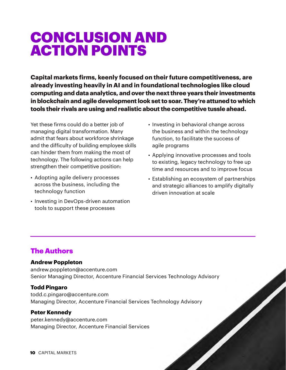# CONCLUSION AND ACTION POINTS

**Capital markets firms, keenly focused on their future competitiveness, are already investing heavily in AI and in foundational technologies like cloud computing and data analytics, and over the next three years their investments in blockchain and agile development look set to soar. They're attuned to which tools their rivals are using and realistic about the competitive tussle ahead.**

Yet these firms could do a better job of managing digital transformation. Many admit that fears about workforce shrinkage and the difficulty of building employee skills can hinder them from making the most of technology. The following actions can help strengthen their competitive position:

- Adopting agile delivery processes across the business, including the technology function
- Investing in DevOps-driven automation tools to support these processes
- Investing in behavioral change across the business and within the technology function, to facilitate the success of agile programs
- Applying innovative processes and tools to existing, legacy technology to free up time and resources and to improve focus
- Establishing an ecosystem of partnerships and strategic alliances to amplify digitally driven innovation at scale

# The Authors

### **Andrew Poppleton**

andrew.poppleton@accenture.com Senior Managing Director, Accenture Financial Services Technology Advisory

## **Todd Pingaro**

todd.c.pingaro@accenture.com Managing Director, Accenture Financial Services Technology Advisory

## **Peter Kennedy**

peter.kennedy@accenture.com Managing Director, Accenture Financial Services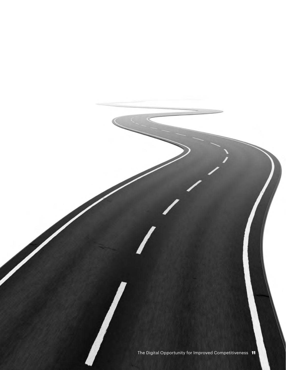The Digital Opportunity for Improved Competitiveness 11